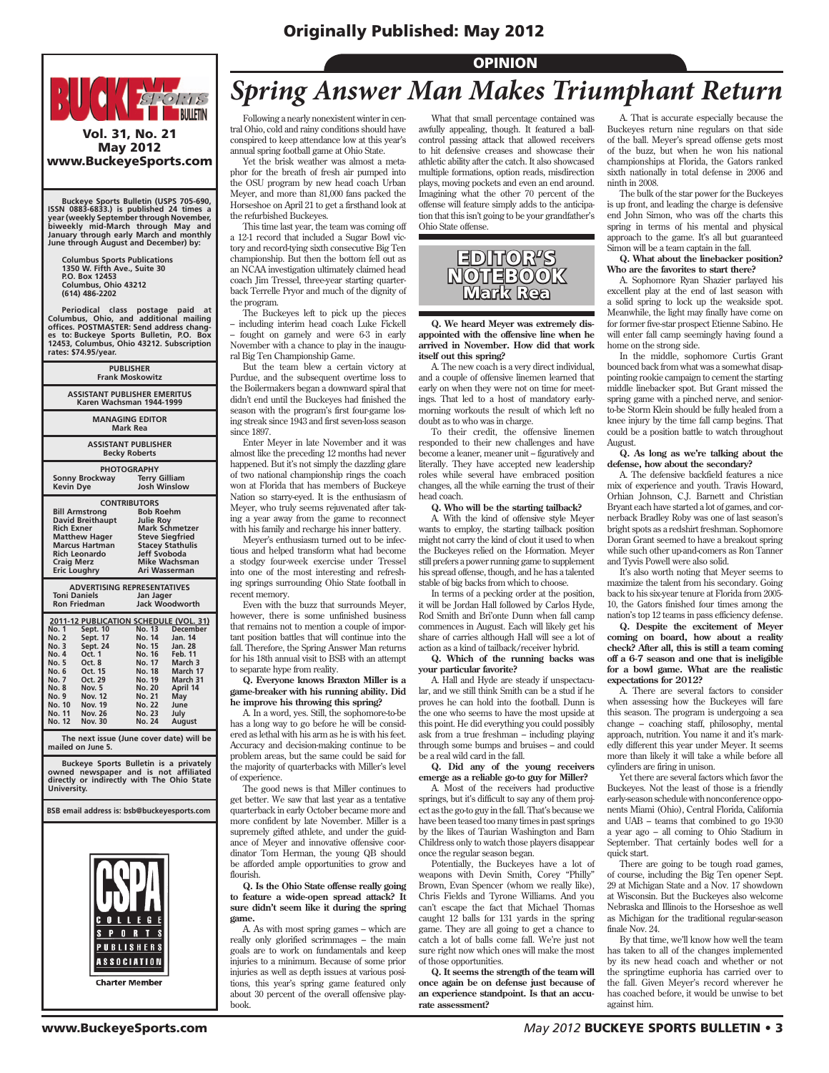## Originally Published: May 2012



## May 2012 www.BuckeyeSports.com

 **Buckeye Sports Bulletin (USPS 705-690, ISSN 0883-6833.) is published 24 times a year (weekly September through November, biweekly mid-March through May and January through early March and monthly June through August and December) by:**

 **Columbus Sports Publications 1350 W. Fifth Ave., Suite 30 P.O. Box 12453 Columbus, Ohio 43212 (614) 486-2202**

 **Periodical class postage paid at Columbus, Ohio, and additional mailing offices. POSTMASTER: Send address changes to: Buckeye Sports Bulletin, P.O. Box 12453, Columbus, Ohio 43212. Subscription rates: \$74.95/year.**

| <b>PUBLISHER</b><br><b>Frank Moskowitz</b>                                                                                                                                                                                                                                                                                 |                                                                                                                                                                             |                                                                                                                                         |  |  |
|----------------------------------------------------------------------------------------------------------------------------------------------------------------------------------------------------------------------------------------------------------------------------------------------------------------------------|-----------------------------------------------------------------------------------------------------------------------------------------------------------------------------|-----------------------------------------------------------------------------------------------------------------------------------------|--|--|
| <b>ASSISTANT PUBLISHER EMERITUS</b><br>Karen Wachsman 1944-1999                                                                                                                                                                                                                                                            |                                                                                                                                                                             |                                                                                                                                         |  |  |
| <b>MANAGING EDITOR</b><br>Mark Rea                                                                                                                                                                                                                                                                                         |                                                                                                                                                                             |                                                                                                                                         |  |  |
| <b>ASSISTANT PUBLISHER</b><br><b>Becky Roberts</b>                                                                                                                                                                                                                                                                         |                                                                                                                                                                             |                                                                                                                                         |  |  |
| <b>PHOTOGRAPHY</b><br><b>Sonny Brockway</b><br><b>Kevin Dye</b>                                                                                                                                                                                                                                                            | <b>Terry Gilliam</b><br>Josh Winslow                                                                                                                                        |                                                                                                                                         |  |  |
| <b>CONTRIBUTORS</b><br><b>Bill Armstrong</b><br><b>David Breithaupt</b><br><b>Rich Exner</b><br><b>Matthew Hager</b><br><b>Marcus Hartman</b><br><b>Rich Leonardo</b><br><b>Craig Merz</b><br><b>Eric Loughry</b>                                                                                                          | <b>Bob Roehm</b><br><b>Julie Roy</b><br><b>Mark Schmetzer</b><br><b>Steve Siegfried</b><br><b>Stacey Stathulis</b><br>Jeff Svoboda<br><b>Mike Wachsman</b><br>Ari Wasserman |                                                                                                                                         |  |  |
| <b>ADVERTISING REPRESENTATIVES</b><br><b>Toni Daniels</b><br>Jan Jager<br>Jack Woodworth<br><b>Ron Friedman</b>                                                                                                                                                                                                            |                                                                                                                                                                             |                                                                                                                                         |  |  |
| 2011-12 PUBLICATION SCHEDULE (VOL. 31)<br>Sept. 10<br><b>No. 1</b><br><b>No. 2</b><br>Sept. 17<br>Sept. 24<br><b>No. 3</b><br>No. 4<br>Oct. 1<br>No. 5<br>Oct. 8<br>No. 6<br>Oct. 15<br>No. 7<br>Oct. 29<br><b>No. 8</b><br>Nov. 5<br><b>No. 9</b><br><b>Nov. 12</b><br>No. 10 Nov. 19<br>No. 11 Nov. 26<br>No. 12 Nov. 30 | No. 13<br>No. 14<br>No. 15<br>No. 16<br>No. 17<br><b>No. 18</b><br>No. 19<br><b>No. 20</b><br>No. 21<br><b>No. 22</b><br>No. 23<br>No. 24                                   | <b>December</b><br>Jan. 14<br>Jan. 28<br><b>Feb. 11</b><br>March 3<br>March 17<br>March 31<br>April 14<br>May<br>June<br>July<br>August |  |  |
| The next issue (June cover date) will be<br>mailed on June 5.                                                                                                                                                                                                                                                              |                                                                                                                                                                             |                                                                                                                                         |  |  |
| Buckeve Sports Bulletin is a privately                                                                                                                                                                                                                                                                                     |                                                                                                                                                                             |                                                                                                                                         |  |  |

 **Buckeye Sports Bulletin is a privately owned newspaper and is not affiliated directly or indirectly with The Ohio State University.**

**BSB email address is: bsb@buckeyesports.com**

**ASSOCIATION Charter Member** 

**PUBLISHERS** 

# *Spring Answer Man Makes Triumphant Return*

OPINION

Following a nearly nonexistent winter in central Ohio, cold and rainy conditions should have conspired to keep attendance low at this year's annual spring football game at Ohio State.

Yet the brisk weather was almost a metaphor for the breath of fresh air pumped into the OSU program by new head coach Urban Meyer, and more than 81,000 fans packed the Horseshoe on April 21 to get a firsthand look at the refurbished Buckeyes.

This time last year, the team was coming off a 12-1 record that included a Sugar Bowl victory and record-tying sixth consecutive Big Ten championship. But then the bottom fell out as an NCAA investigation ultimately claimed head coach Jim Tressel, three-year starting quarterback Terrelle Pryor and much of the dignity of the program.

The Buckeyes left to pick up the pieces – including interim head coach Luke Fickell – fought on gamely and were 6-3 in early November with a chance to play in the inaugural Big Ten Championship Game.

But the team blew a certain victory at Purdue, and the subsequent overtime loss to the Boilermakers began a downward spiral that didn't end until the Buckeyes had finished the season with the program's first four-game losing streak since 1943 and first seven-loss season since 1897

Enter Meyer in late November and it was almost like the preceding 12 months had never happened. But it's not simply the dazzling glare of two national championship rings the coach won at Florida that has members of Buckeye Nation so starry-eyed. It is the enthusiasm of Meyer, who truly seems rejuvenated after taking a year away from the game to reconnect with his family and recharge his inner battery.

Meyer's enthusiasm turned out to be infectious and helped transform what had become a stodgy four-week exercise under Tressel into one of the most interesting and refreshing springs surrounding Ohio State football in recent memory.

Even with the buzz that surrounds Meyer, however, there is some unfinished business that remains not to mention a couple of important position battles that will continue into the fall. Therefore, the Spring Answer Man returns for his 18th annual visit to BSB with an attempt to separate hype from reality.

**Q. Everyone knows Braxton Miller is a game-breaker with his running ability. Did he improve his throwing this spring?**

A. In a word, yes. Still, the sophomore-to-be has a long way to go before he will be considered as lethal with his arm as he is with his feet. Accuracy and decision-making continue to be problem areas, but the same could be said for the majority of quarterbacks with Miller's level of experience.

The good news is that Miller continues to get better. We saw that last year as a tentative quarterback in early October became more and more confident by late November. Miller is a supremely gifted athlete, and under the guidance of Meyer and innovative offensive coordinator Tom Herman, the young QB should be afforded ample opportunities to grow and flourish.

**Q. Is the Ohio State offense really going to feature a wide-open spread attack? It sure didn't seem like it during the spring game.**

A. As with most spring games – which are really only glorified scrimmages – the main goals are to work on fundamentals and keep injuries to a minimum. Because of some prior injuries as well as depth issues at various positions, this year's spring game featured only about 30 percent of the overall offensive playbook.

What that small percentage contained was awfully appealing, though. It featured a ballcontrol passing attack that allowed receivers to hit defensive creases and showcase their athletic ability after the catch. It also showcased multiple formations, option reads, misdirection plays, moving pockets and even an end around. Imagining what the other 70 percent of the offense will feature simply adds to the anticipation that this isn't going to be your grandfather's Ohio State offense.



**Q. We heard Meyer was extremely disappointed with the offensive line when he arrived in November. How did that work itself out this spring?**

A. The new coach is a very direct individual, and a couple of offensive linemen learned that early on when they were not on time for meetings. That led to a host of mandatory earlymorning workouts the result of which left no doubt as to who was in charge.

To their credit, the offensive linemen responded to their new challenges and have become a leaner, meaner unit – figuratively and literally. They have accepted new leadership roles while several have embraced position changes, all the while earning the trust of their head coach.

#### **Q. Who will be the starting tailback?**

A. With the kind of offensive style Meyer wants to employ, the starting tailback position might not carry the kind of clout it used to when the Buckeyes relied on the I-formation. Meyer still prefers a power running game to supplement his spread offense, though, and he has a talented stable of big backs from which to choose.

In terms of a pecking order at the position, it will be Jordan Hall followed by Carlos Hyde, Rod Smith and Bri'onte Dunn when fall camp commences in August. Each will likely get his share of carries although Hall will see a lot of action as a kind of tailback/receiver hybrid.

**Q. Which of the running backs was your particular favorite?**

A. Hall and Hyde are steady if unspectacular, and we still think Smith can be a stud if he proves he can hold into the football. Dunn is the one who seems to have the most upside at this point. He did everything you could possibly ask from a true freshman – including playing through some bumps and bruises – and could be a real wild card in the fall.

**Q. Did any of the young receivers emerge as a reliable go-to guy for Miller?**

A. Most of the receivers had productive springs, but it's difficult to say any of them project as the go-to guy in the fall. That's because we have been teased too many times in past springs by the likes of Taurian Washington and Bam Childress only to watch those players disappear once the regular season began.

Potentially, the Buckeyes have a lot of weapons with Devin Smith, Corey "Philly" Brown, Evan Spencer (whom we really like), Chris Fields and Tyrone Williams. And you can't escape the fact that Michael Thomas caught 12 balls for 131 yards in the spring game. They are all going to get a chance to catch a lot of balls come fall. We're just not sure right now which ones will make the most of those opportunities.

**Q. It seems the strength of the team will once again be on defense just because of an experience standpoint. Is that an accurate assessment?**

A. That is accurate especially because the Buckeyes return nine regulars on that side of the ball. Meyer's spread offense gets most of the buzz, but when he won his national championships at Florida, the Gators ranked sixth nationally in total defense in 2006 and ninth in 2008.

The bulk of the star power for the Buckeyes is up front, and leading the charge is defensive end John Simon, who was off the charts this spring in terms of his mental and physical approach to the game. It's all but guaranteed Simon will be a team captain in the fall.

#### **Q. What about the linebacker position? Who are the favorites to start there?**

A. Sophomore Ryan Shazier parlayed his excellent play at the end of last season with a solid spring to lock up the weakside spot. Meanwhile, the light may finally have come on for former five-star prospect Etienne Sabino. He will enter fall camp seemingly having found a home on the strong side.

In the middle, sophomore Curtis Grant bounced back from what was a somewhat disappointing rookie campaign to cement the starting middle linebacker spot. But Grant missed the spring game with a pinched nerve, and seniorto-be Storm Klein should be fully healed from a knee injury by the time fall camp begins. That could be a position battle to watch throughout August.

**Q. As long as we're talking about the defense, how about the secondary?**

A. The defensive backfield features a nice mix of experience and youth. Travis Howard, Orhian Johnson, C.J. Barnett and Christian Bryant each have started a lot of games, and cornerback Bradley Roby was one of last season's bright spots as a redshirt freshman. Sophomore Doran Grant seemed to have a breakout spring while such other up-and-comers as Ron Tanner and Tyvis Powell were also solid.

It's also worth noting that Meyer seems to maximize the talent from his secondary. Going back to his six-year tenure at Florida from 2005- 10, the Gators finished four times among the nation's top 12 teams in pass efficiency defense.

**Q. Despite the excitement of Meyer coming on board, how about a reality check? After all, this is still a team coming off a 6-7 season and one that is ineligible for a bowl game. What are the realistic expectations for 2012?**

A. There are several factors to consider when assessing how the Buckeyes will fare this season. The program is undergoing a sea change – coaching staff, philosophy, mental approach, nutrition. You name it and it's markedly different this year under Meyer. It seems more than likely it will take a while before all cylinders are firing in unison.

Yet there are several factors which favor the Buckeyes. Not the least of those is a friendly early-season schedule with nonconference opponents Miami (Ohio), Central Florida, California and UAB – teams that combined to go 19-30 a year ago – all coming to Ohio Stadium in September. That certainly bodes well for a quick start.

There are going to be tough road games, of course, including the Big Ten opener Sept. 29 at Michigan State and a Nov. 17 showdown at Wisconsin. But the Buckeyes also welcome Nebraska and Illinois to the Horseshoe as well as Michigan for the traditional regular-season finale Nov. 24.

By that time, we'll know how well the team has taken to all of the changes implemented by its new head coach and whether or not the springtime euphoria has carried over to the fall. Given Meyer's record wherever he has coached before, it would be unwise to bet against him.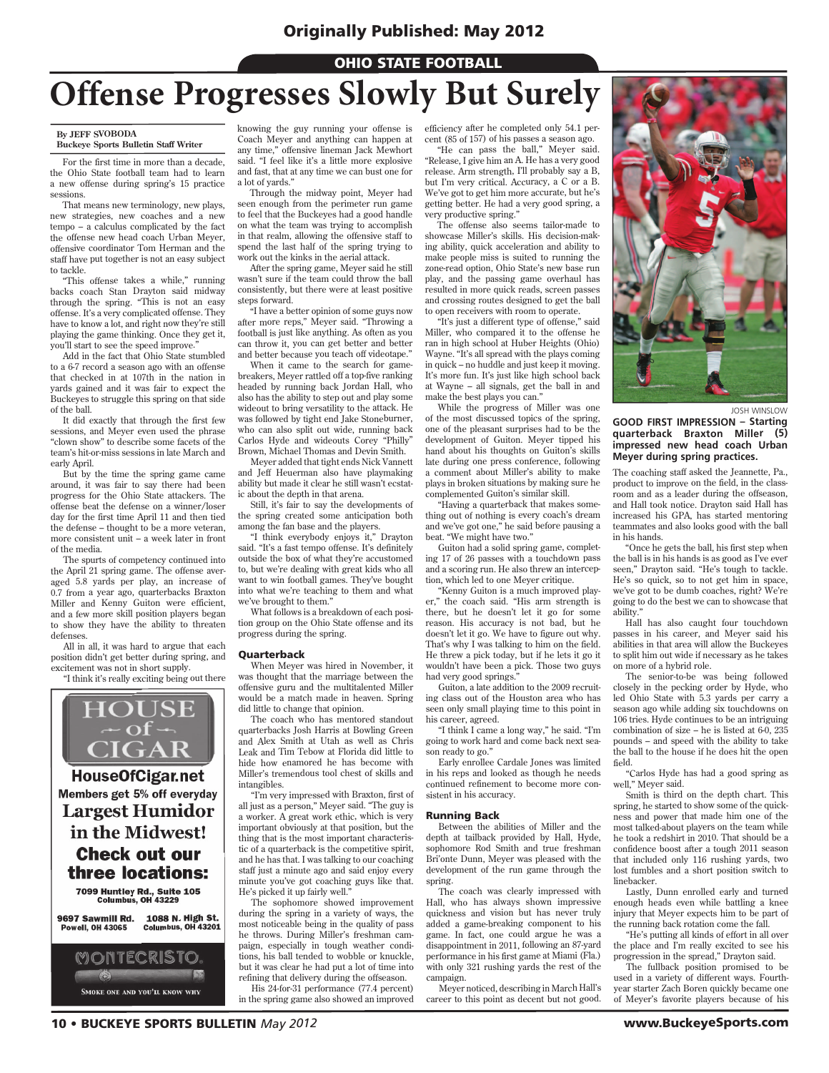## **OHIO STATE FOOTBALL**

# **Offense Progresses Slowly But Surely**

#### **By JEFF SVOBODA**

**Buckeye Sports Bulletin Staff Writer**

For the first time in more than a decade, the Ohio State football team had to learn a new offense during spring's 15 practice sessions.

That means new terminology, new plays, new strategies, new coaches and a new tempo – a calculus complicated by the fact the offense new head coach Urban Meyer, offensive coordinator Tom Herman and the staff have put together is not an easy subject to tackle.

"This offense takes a while," running backs coach Stan Drayton said midway through the spring. "This is not an easy offense. It's a very complicated offense. They have to know a lot, and right now they're still playing the game thinking. Once they get it, you'll start to see the speed improve."

Add in the fact that Ohio State stumbled to a 6-7 record a season ago with an offense that checked in at 107th in the nation in yards gained and it was fair to expect the Buckeyes to struggle this spring on that side of the ball.

It did exactly that through the first few sessions, and Meyer even used the phrase "clown show" to describe some facets of the team's hit-or-miss sessions in late March and early April.

But by the time the spring game came around, it was fair to say there had been progress for the Ohio State attackers. The offense beat the defense on a winner/loser day for the first time April 11 and then tied the defense – thought to be a more veteran, more consistent unit – a week later in front of the media.

The spurts of competency continued into the April 21 spring game. The offense averaged 5.8 yards per play, an increase of 0.7 from a year ago, quarterbacks Braxton Miller and Kenny Guiton were efficient, and a few more skill position players began to show they have the ability to threaten defenses.

All in all, it was hard to argue that each position didn't get better during spring, and excitement was not in short supply.

"I think it's really exciting being out there

HOUSE<br>CIGAR **HouseOfCigar.net** Members get 5% off everyday **Largest Humidor** in the Midwest! **Check out our** three locations: 7099 Huntley Rd., Suite 105<br>Columbus, OH 43229

9697 Sawmill Rd. **1088 N. High St.**<br>Columbus, OH 43201 **Powell, OH 43065** 



knowing the guy running your offense is Coach Meyer and anything can happen at any time," offensive lineman Jack Mewhort said. "I feel like it's a little more explosive and fast, that at any time we can bust one for a lot of yards."

Through the midway point, Meyer had seen enough from the perimeter run game to feel that the Buckeyes had a good handle on what the team was trying to accomplish in that realm, allowing the offensive staff to spend the last half of the spring trying to work out the kinks in the aerial attack.

After the spring game, Meyer said he still wasn't sure if the team could throw the ball consistently, but there were at least positive steps forward.

"I have a better opinion of some guys now after more reps," Meyer said. "Throwing a football is just like anything. As often as you can throw it, you can get better and better and better because you teach off videotape."

When it came to the search for gamebreakers, Meyer rattled off a top-five ranking headed by running back Jordan Hall, who also has the ability to step out and play some wideout to bring versatility to the attack. He was followed by tight end Jake Stoneburner, who can also split out wide, running back Carlos Hyde and wideouts Corey "Philly" Brown, Michael Thomas and Devin Smith.

Meyer added that tight ends Nick Vannett and Jeff Heuerman also have playmaking ability but made it clear he still wasn't ecstatic about the depth in that arena.

Still, it's fair to say the developments of the spring created some anticipation both among the fan base and the players.

"I think everybody enjoys it," Drayton said. "It's a fast tempo offense. It's definitely outside the box of what they're accustomed to, but we're dealing with great kids who all want to win football games. They've bought into what we're teaching to them and what we've brought to them."

What follows is a breakdown of each position group on the Ohio State offense and its progress during the spring.

#### **Ouarterback**

When Meyer was hired in November, it was thought that the marriage between the offensive guru and the multitalented Miller would be a match made in heaven. Spring did little to change that opinion.

The coach who has mentored standout quarterbacks Josh Harris at Bowling Green and Alex Smith at Utah as well as Chris Leak and Tim Tebow at Florida did little to hide how enamored he has become with Miller's tremendous tool chest of skills and intangibles.

"I'm very impressed with Braxton, first of all just as a person," Meyer said. "The guy is a worker. A great work ethic, which is very important obviously at that position, but the thing that is the most important characteristic of a quarterback is the competitive spirit, and he has that. I was talking to our coaching staff just a minute ago and said enjoy every minute you've got coaching guys like that. He's picked it up fairly well."

The sophomore showed improvement during the spring in a variety of ways, the most noticeable being in the quality of pass he throws. During Miller's freshman campaign, especially in tough weather conditions, his ball tended to wobble or knuckle, but it was clear he had put a lot of time into refining that delivery during the offseason. His 24-for-31 performance (77.4 percent)

in the spring game also showed an improved

efficiency after he completed only 54.1 percent (85 of 157) of his passes a season ago. "He can pass the ball," Meyer said.

"Release, I give him an A. He has a very good release. Arm strength, I'll probably say a B, but I'm very critical. Accuracy, a C or a B. We've got to get him more accurate, but he's getting better. He had a very good spring, a very productive spring."

The offense also seems tailor-made to showcase Miller's skills. His decision-making ability, quick acceleration and ability to make people miss is suited to running the zone-read option, Ohio State's new base run play, and the passing game overhaul has resulted in more quick reads, screen passes and crossing routes designed to get the ball to open receivers with room to operate.

"It's just a different type of offense," said Miller, who compared it to the offense he ran in high school at Huber Heights (Ohio) Wayne. "It's all spread with the plays coming in quick – no huddle and just keep it moving. It's more fun. It's just like high school back at Wayne – all signals, get the ball in and make the best plays you can."

While the progress of Miller was one of the most discussed topics of the spring, one of the pleasant surprises had to be the development of Guiton. Meyer tipped his hand about his thoughts on Guiton's skills late during one press conference, following a comment about Miller's ability to make plays in broken situations by making sure he complemented Guiton's similar skill.

"Having a quarterback that makes something out of nothing is every coach's dream and we've got one," he said before pausing a beat. "We might have two."

Guiton had a solid spring game, completing 17 of 26 passes with a touchdown pass and a scoring run. He also threw an interception, which led to one Meyer critique.

"Kenny Guiton is a much improved player," the coach said. "His arm strength is there, but he doesn't let it go for some reason. His accuracy is not bad, but he doesn't let it go. We have to figure out why. That's why I was talking to him on the field. He threw a pick today, but if he lets it go it wouldn't have been a pick. Those two guys had very good springs.

Guiton, a late addition to the 2009 recruiting class out of the Houston area who has seen only small playing time to this point in his career, agreed.

"I think I came a long way," he said. "I'm going to work hard and come back next season ready to go."

Early enrollee Cardale Jones was limited in his reps and looked as though he needs continued refinement to become more consistent in his accuracy.

#### Running Back

Between the abilities of Miller and the depth at tailback provided by Hall, Hyde, sophomore Rod Smith and true freshman Bri'onte Dunn, Meyer was pleased with the development of the run game through the spring.

The coach was clearly impressed with Hall, who has always shown impressive quickness and vision but has never truly added a game-breaking component to his game. In fact, one could argue he was a disappointment in 2011, following an 87-yard performance in his first game at Miami (Fla.) with only 321 rushing yards the rest of the campaign.

Meyer noticed, describing in March Hall's career to this point as decent but not good.



JOSH WINSLOW

**GOOD FIRST IMPRESSION – Starting quarterback Braxton Miller (5) impressed new head coach Urban Meyer during spring practices.**

The coaching staff asked the Jeannette, Pa., product to improve on the field, in the classroom and as a leader during the offseason, and Hall took notice. Drayton said Hall has increased his GPA, has started mentoring teammates and also looks good with the ball in his hands.

"Once he gets the ball, his first step when the ball is in his hands is as good as I've ever seen," Drayton said. "He's tough to tackle. He's so quick, so to not get him in space, we've got to be dumb coaches, right? We're going to do the best we can to showcase that ability."

Hall has also caught four touchdown passes in his career, and Meyer said his abilities in that area will allow the Buckeyes to split him out wide if necessary as he takes on more of a hybrid role.

The senior-to-be was being followed closely in the pecking order by Hyde, who led Ohio State with 5.3 yards per carry a season ago while adding six touchdowns on 106 tries. Hyde continues to be an intriguing combination of size – he is listed at  $6-0$ ,  $235$ pounds – and speed with the ability to take the ball to the house if he does hit the open field.

"Carlos Hyde has had a good spring as well," Meyer said.

Smith is third on the depth chart. This spring, he started to show some of the quickness and power that made him one of the most talked-about players on the team while he took a redshirt in 2010. That should be a confidence boost after a tough 2011 season that included only 116 rushing yards, two lost fumbles and a short position switch to linebacker.

Lastly, Dunn enrolled early and turned enough heads even while battling a knee injury that Meyer expects him to be part of the running back rotation come the fall.

"He's putting all kinds of effort in all over the place and I'm really excited to see his progression in the spread," Drayton said.

The fullback position promised to be used in a variety of different ways. Fourthyear starter Zach Boren quickly became one of Meyer's favorite players because of his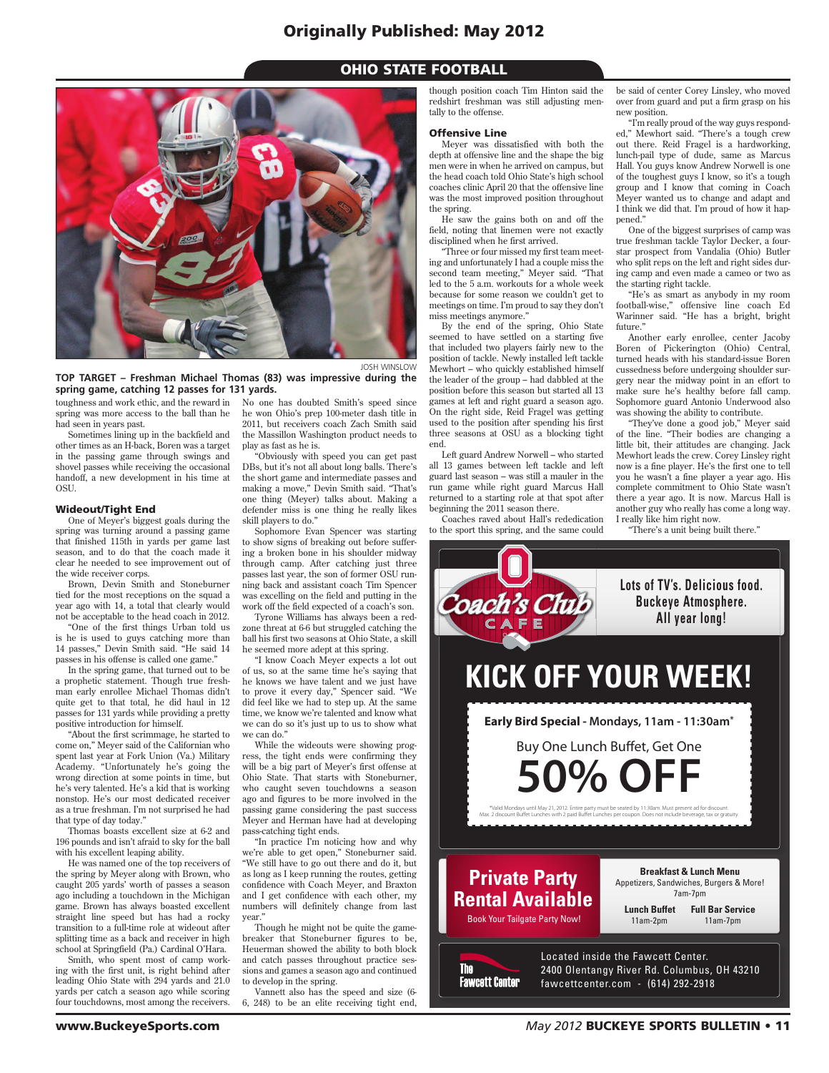## Originally Published: May 2012

## **OHIO STATE FOOTBALL**



**TOP TARGET – Freshman Michael Thomas (83) was impressive during the spring game, catching 12 passes for 131 yards.**

toughness and work ethic, and the reward in spring was more access to the ball than he had seen in years past.

Sometimes lining up in the backfield and other times as an H-back, Boren was a target in the passing game through swings and shovel passes while receiving the occasional handoff, a new development in his time at **OSU.** 

#### Wideout/Tight End

One of Meyer's biggest goals during the spring was turning around a passing game that finished 115th in yards per game last season, and to do that the coach made it clear he needed to see improvement out of the wide receiver corps.

Brown, Devin Smith and Stoneburner tied for the most receptions on the squad a year ago with 14, a total that clearly would not be acceptable to the head coach in 2012.

"One of the first things Urban told us is he is used to guys catching more than 14 passes," Devin Smith said. "He said 14 passes in his offense is called one game."

In the spring game, that turned out to be a prophetic statement. Though true freshman early enrollee Michael Thomas didn't quite get to that total, he did haul in 12 passes for 131 yards while providing a pretty positive introduction for himself.

"About the first scrimmage, he started to come on," Meyer said of the Californian who spent last year at Fork Union (Va.) Military Academy. "Unfortunately he's going the wrong direction at some points in time, but he's very talented. He's a kid that is working nonstop. He's our most dedicated receiver as a true freshman. I'm not surprised he had that type of day today."

Thomas boasts excellent size at 6-2 and 196 pounds and isn't afraid to sky for the ball with his excellent leaping ability.

He was named one of the top receivers of the spring by Meyer along with Brown, who caught 205 yards' worth of passes a season ago including a touchdown in the Michigan game. Brown has always boasted excellent straight line speed but has had a rocky transition to a full-time role at wideout after splitting time as a back and receiver in high school at Springfield (Pa.) Cardinal O'Hara.

Smith, who spent most of camp working with the first unit, is right behind after leading Ohio State with 294 yards and 21.0 yards per catch a season ago while scoring four touchdowns, most among the receivers.

No one has doubted Smith's speed since he won Ohio's prep 100-meter dash title in 2011, but receivers coach Zach Smith said the Massillon Washington product needs to play as fast as he is.

"Obviously with speed you can get past DBs, but it's not all about long balls. There's the short game and intermediate passes and making a move," Devin Smith said. "That's one thing (Meyer) talks about. Making a defender miss is one thing he really likes skill players to do."

Sophomore Evan Spencer was starting to show signs of breaking out before suffering a broken bone in his shoulder midway through camp. After catching just three passes last year, the son of former OSU running back and assistant coach Tim Spencer was excelling on the field and putting in the work off the field expected of a coach's son.

Tyrone Williams has always been a redzone threat at 6-6 but struggled catching the ball his first two seasons at Ohio State, a skill he seemed more adept at this spring.

"I know Coach Meyer expects a lot out of us, so at the same time he's saying that he knows we have talent and we just have to prove it every day," Spencer said. "We did feel like we had to step up. At the same time, we know we're talented and know what we can do so it's just up to us to show what we can do."

While the wideouts were showing progress, the tight ends were confirming they will be a big part of Meyer's first offense at Ohio State. That starts with Stoneburner, who caught seven touchdowns a season ago and figures to be more involved in the passing game considering the past success Meyer and Herman have had at developing pass-catching tight ends.

"In practice I'm noticing how and why we're able to get open," Stoneburner said. "We still have to go out there and do it, but as long as I keep running the routes, getting confidence with Coach Meyer, and Braxton and I get confidence with each other, my numbers will definitely change from last year.

Though he might not be quite the gamebreaker that Stoneburner figures to be, Heuerman showed the ability to both block and catch passes throughout practice sessions and games a season ago and continued to develop in the spring.

Vannett also has the speed and size (6- 6, 248) to be an elite receiving tight end,

though position coach Tim Hinton said the redshirt freshman was still adjusting mentally to the offense.

#### Offensive Line

Meyer was dissatisfied with both the depth at offensive line and the shape the big men were in when he arrived on campus, but the head coach told Ohio State's high school coaches clinic April 20 that the offensive line was the most improved position throughout the spring.

He saw the gains both on and off the field, noting that linemen were not exactly disciplined when he first arrived.

"Three or four missed my first team meeting and unfortunately I had a couple miss the second team meeting," Meyer said. "That led to the 5 a.m. workouts for a whole week because for some reason we couldn't get to meetings on time. I'm proud to say they don't miss meetings anymore."

By the end of the spring, Ohio State seemed to have settled on a starting five that included two players fairly new to the position of tackle. Newly installed left tackle Mewhort – who quickly established himself the leader of the group – had dabbled at the position before this season but started all 13 games at left and right guard a season ago. On the right side, Reid Fragel was getting used to the position after spending his first three seasons at OSU as a blocking tight end.

Left guard Andrew Norwell – who started all 13 games between left tackle and left guard last season – was still a mauler in the run game while right guard Marcus Hall returned to a starting role at that spot after beginning the 2011 season there.

Coaches raved about Hall's rededication to the sport this spring, and the same could be said of center Corey Linsley, who moved over from guard and put a firm grasp on his new position.

"I'm really proud of the way guys responded," Mewhort said. "There's a tough crew out there. Reid Fragel is a hardworking, lunch-pail type of dude, same as Marcus Hall. You guys know Andrew Norwell is one of the toughest guys I know, so it's a tough group and I know that coming in Coach Meyer wanted us to change and adapt and I think we did that. I'm proud of how it happened."

One of the biggest surprises of camp was true freshman tackle Taylor Decker, a fourstar prospect from Vandalia (Ohio) Butler who split reps on the left and right sides during camp and even made a cameo or two as the starting right tackle.

"He's as smart as anybody in my room football-wise," offensive line coach Ed Warinner said. "He has a bright, bright future."

Another early enrollee, center Jacoby Boren of Pickerington (Ohio) Central, turned heads with his standard-issue Boren cussedness before undergoing shoulder surgery near the midway point in an effort to make sure he's healthy before fall camp. Sophomore guard Antonio Underwood also was showing the ability to contribute.

"They've done a good job," Meyer said of the line. "Their bodies are changing a little bit, their attitudes are changing. Jack Mewhort leads the crew. Corey Linsley right now is a fine player. He's the first one to tell you he wasn't a fine player a year ago. His complete commitment to Ohio State wasn't there a year ago. It is now. Marcus Hall is another guy who really has come a long way. I really like him right now.

"There's a unit being built there."

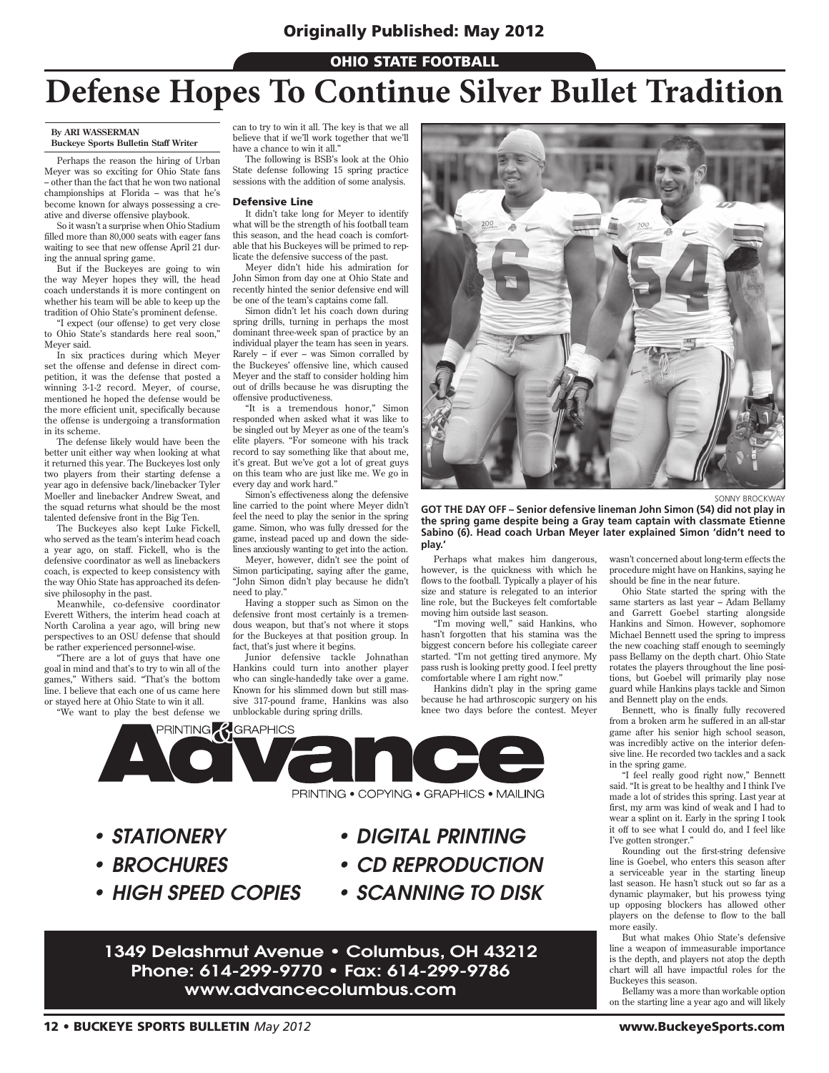## **OHIO STATE FOOTBALL**

# **Defense Hopes To Continue Silver Bullet Tradition**

#### **By ARI WASSERMAN Buckeye Sports Bulletin Staff Writer**

Perhaps the reason the hiring of Urban Meyer was so exciting for Ohio State fans – other than the fact that he won two national championships at Florida – was that he's become known for always possessing a creative and diverse offensive playbook.

So it wasn't a surprise when Ohio Stadium filled more than 80,000 seats with eager fans waiting to see that new offense April 21 during the annual spring game.

But if the Buckeyes are going to win the way Meyer hopes they will, the head coach understands it is more contingent on whether his team will be able to keep up the tradition of Ohio State's prominent defense.

"I expect (our offense) to get very close to Ohio State's standards here real soon," Meyer said.

In six practices during which Meyer set the offense and defense in direct competition, it was the defense that posted a winning 3-1-2 record. Meyer, of course, mentioned he hoped the defense would be the more efficient unit, specifically because the offense is undergoing a transformation in its scheme.

The defense likely would have been the better unit either way when looking at what it returned this year. The Buckeyes lost only two players from their starting defense a year ago in defensive back/linebacker Tyler Moeller and linebacker Andrew Sweat, and the squad returns what should be the most talented defensive front in the Big Ten.

The Buckeyes also kept Luke Fickell, who served as the team's interim head coach a year ago, on staff. Fickell, who is the defensive coordinator as well as linebackers coach, is expected to keep consistency with the way Ohio State has approached its defensive philosophy in the past.

Meanwhile, co-defensive coordinator Everett Withers, the interim head coach at North Carolina a year ago, will bring new perspectives to an OSU defense that should be rather experienced personnel-wise.

"There are a lot of guys that have one goal in mind and that's to try to win all of the games," Withers said. "That's the bottom line. I believe that each one of us came here or stayed here at Ohio State to win it all.

"We want to play the best defense we

can to try to win it all. The key is that we all believe that if we'll work together that we'll have a chance to win it all.'

The following is BSB's look at the Ohio State defense following 15 spring practice sessions with the addition of some analysis.

#### Defensive Line

It didn't take long for Meyer to identify what will be the strength of his football team this season, and the head coach is comfortable that his Buckeyes will be primed to replicate the defensive success of the past.

Meyer didn't hide his admiration for John Simon from day one at Ohio State and recently hinted the senior defensive end will be one of the team's captains come fall.

Simon didn't let his coach down during spring drills, turning in perhaps the most dominant three-week span of practice by an individual player the team has seen in years. Rarely – if ever – was Simon corralled by the Buckeyes' offensive line, which caused Meyer and the staff to consider holding him out of drills because he was disrupting the offensive productiveness.

"It is a tremendous honor," Simon responded when asked what it was like to be singled out by Meyer as one of the team's elite players. "For someone with his track record to say something like that about me, it's great. But we've got a lot of great guys on this team who are just like me. We go in every day and work hard."

Simon's effectiveness along the defensive line carried to the point where Meyer didn't feel the need to play the senior in the spring game. Simon, who was fully dressed for the game, instead paced up and down the sidelines anxiously wanting to get into the action.

Meyer, however, didn't see the point of Simon participating, saying after the game, "John Simon didn't play because he didn't need to play."

Having a stopper such as Simon on the defensive front most certainly is a tremendous weapon, but that's not where it stops for the Buckeyes at that position group. In fact, that's just where it begins.

Junior defensive tackle Johnathan Hankins could turn into another player who can single-handedly take over a game. Known for his slimmed down but still massive 317-pound frame, Hankins was also unblockable during spring drills.



SONNY BROCKWAY

**GOT THE DAY OFF – Senior defensive lineman John Simon (54) did not play in the spring game despite being a Gray team captain with classmate Etienne Sabino (6). Head coach Urban Meyer later explained Simon 'didn't need to play.'**

Perhaps what makes him dangerous, however, is the quickness with which he flows to the football. Typically a player of his size and stature is relegated to an interior line role, but the Buckeyes felt comfortable moving him outside last season.

"I'm moving well," said Hankins, who hasn't forgotten that his stamina was the biggest concern before his collegiate career started. "I'm not getting tired anymore. My pass rush is looking pretty good. I feel pretty comfortable where I am right now.

Hankins didn't play in the spring game because he had arthroscopic surgery on his knee two days before the contest. Meyer



*• STATIONERY*

- *BROCHURES*
- *HIGH SPEED COPIES*
- *DIGITAL PRINTING*
- *CD REPRODUCTION*
- *SCANNING TO DISK*

1349 Delashmut Avenue • Columbus, OH 43212 Phone: 614-299-9770 • Fax: 614-299-9786 www.advancecolumbus.com

wasn't concerned about long-term effects the procedure might have on Hankins, saying he should be fine in the near future.

Ohio State started the spring with the same starters as last year – Adam Bellamy and Garrett Goebel starting alongside Hankins and Simon. However, sophomore Michael Bennett used the spring to impress the new coaching staff enough to seemingly pass Bellamy on the depth chart. Ohio State rotates the players throughout the line positions, but Goebel will primarily play nose guard while Hankins plays tackle and Simon and Bennett play on the ends.

Bennett, who is finally fully recovered from a broken arm he suffered in an all-star game after his senior high school season, was incredibly active on the interior defensive line. He recorded two tackles and a sack in the spring game.

"I feel really good right now," Bennett said. "It is great to be healthy and I think I've made a lot of strides this spring. Last year at first, my arm was kind of weak and I had to wear a splint on it. Early in the spring I took it off to see what I could do, and I feel like I've gotten stronger."

Rounding out the first-string defensive line is Goebel, who enters this season after a serviceable year in the starting lineup last season. He hasn't stuck out so far as a dynamic playmaker, but his prowess tying up opposing blockers has allowed other players on the defense to flow to the ball more easily.

But what makes Ohio State's defensive line a weapon of immeasurable importance is the depth, and players not atop the depth chart will all have impactful roles for the Buckeyes this season.

Bellamy was a more than workable option on the starting line a year ago and will likely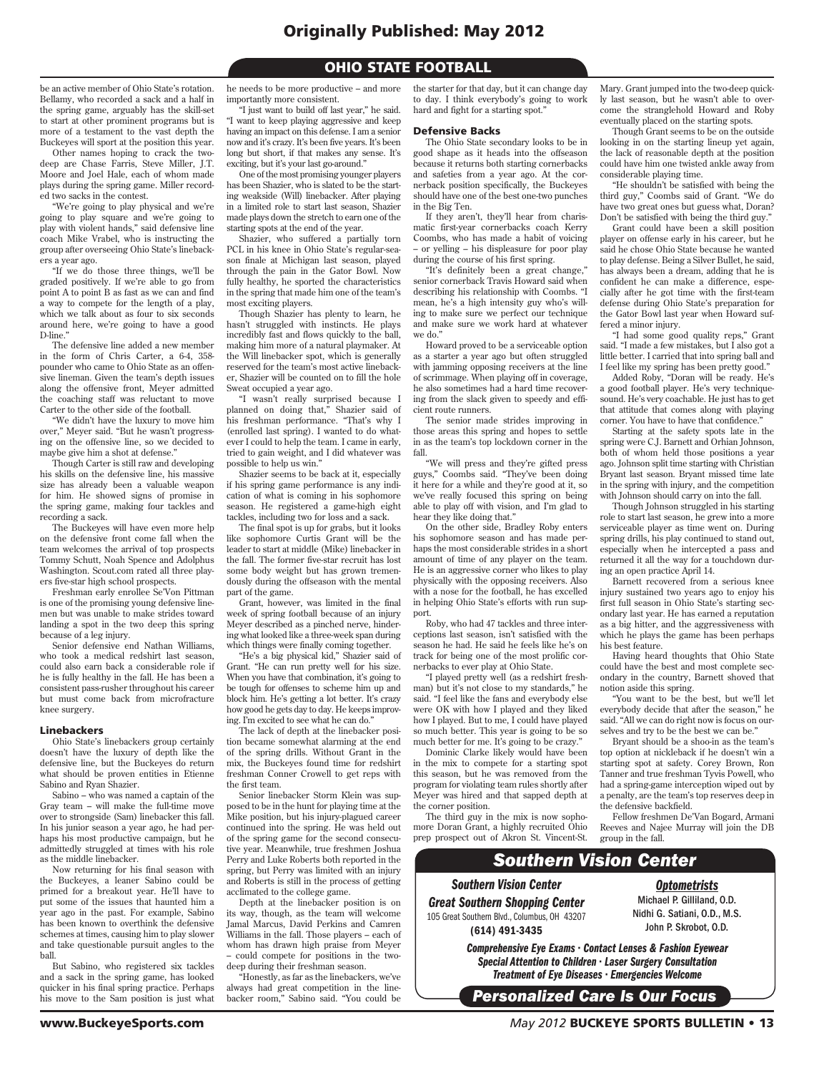## **OHIO STATE FOOTBALL**

be an active member of Ohio State's rotation. Bellamy, who recorded a sack and a half in the spring game, arguably has the skill-set to start at other prominent programs but is more of a testament to the vast depth the Buckeyes will sport at the position this year.

Other names hoping to crack the twodeep are Chase Farris, Steve Miller, J.T. Moore and Joel Hale, each of whom made plays during the spring game. Miller recorded two sacks in the contest.

"We're going to play physical and we're going to play square and we're going to play with violent hands," said defensive line coach Mike Vrabel, who is instructing the group after overseeing Ohio State's linebackers a year ago.

"If we do those three things, we'll be graded positively. If we're able to go from point A to point B as fast as we can and find a way to compete for the length of a play, which we talk about as four to six seconds around here, we're going to have a good D-line<sup>'</sup>

The defensive line added a new member in the form of Chris Carter, a 6-4, 358 pounder who came to Ohio State as an offensive lineman. Given the team's depth issues along the offensive front, Meyer admitted the coaching staff was reluctant to move Carter to the other side of the football.

"We didn't have the luxury to move him over," Meyer said. "But he wasn't progressing on the offensive line, so we decided to maybe give him a shot at defense."

Though Carter is still raw and developing his skills on the defensive line, his massive size has already been a valuable weapon for him. He showed signs of promise in the spring game, making four tackles and recording a sack.

The Buckeyes will have even more help on the defensive front come fall when the team welcomes the arrival of top prospects Tommy Schutt, Noah Spence and Adolphus Washington. Scout.com rated all three players five-star high school prospects.

Freshman early enrollee Se'Von Pittman is one of the promising young defensive linemen but was unable to make strides toward landing a spot in the two deep this spring because of a leg injury.

Senior defensive end Nathan Williams, who took a medical redshirt last season, could also earn back a considerable role if he is fully healthy in the fall. He has been a consistent pass-rusher throughout his career but must come back from microfracture knee surgery.

#### Linebackers

Ohio State's linebackers group certainly doesn't have the luxury of depth like the defensive line, but the Buckeyes do return what should be proven entities in Etienne Sabino and Ryan Shazier.

Sabino – who was named a captain of the Gray team – will make the full-time move over to strongside (Sam) linebacker this fall. In his junior season a year ago, he had perhaps his most productive campaign, but he admittedly struggled at times with his role as the middle linebacker.

Now returning for his final season with the Buckeyes, a leaner Sabino could be primed for a breakout year. He'll have to put some of the issues that haunted him a year ago in the past. For example, Sabino has been known to overthink the defensive schemes at times, causing him to play slower and take questionable pursuit angles to the ball.

But Sabino, who registered six tackles and a sack in the spring game, has looked quicker in his final spring practice. Perhaps his move to the Sam position is just what he needs to be more productive – and more importantly more consistent.

"I just want to build off last year," he said. "I want to keep playing aggressive and keep having an impact on this defense. I am a senior now and it's crazy. It's been five years. It's been long but short, if that makes any sense. It's exciting, but it's your last go-around."

One of the most promising younger players has been Shazier, who is slated to be the starting weakside (Will) linebacker. After playing in a limited role to start last season, Shazier made plays down the stretch to earn one of the starting spots at the end of the year.

Shazier, who suffered a partially torn PCL in his knee in Ohio State's regular-season finale at Michigan last season, played through the pain in the Gator Bowl. Now fully healthy, he sported the characteristics in the spring that made him one of the team's most exciting players.

Though Shazier has plenty to learn, he hasn't struggled with instincts. He plays incredibly fast and flows quickly to the ball, making him more of a natural playmaker. At the Will linebacker spot, which is generally reserved for the team's most active linebacker, Shazier will be counted on to fill the hole Sweat occupied a year ago.

"I wasn't really surprised because I planned on doing that," Shazier said of his freshman performance. "That's why I (enrolled last spring). I wanted to do whatever I could to help the team. I came in early, tried to gain weight, and I did whatever was possible to help us win."

Shazier seems to be back at it, especially if his spring game performance is any indication of what is coming in his sophomore season. He registered a game-high eight tackles, including two for loss and a sack.

The final spot is up for grabs, but it looks like sophomore Curtis Grant will be the leader to start at middle (Mike) linebacker in the fall. The former five-star recruit has lost some body weight but has grown tremendously during the offseason with the mental part of the game.

Grant, however, was limited in the final week of spring football because of an injury Meyer described as a pinched nerve, hindering what looked like a three-week span during which things were finally coming together.

"He's a big physical kid," Shazier said of Grant. "He can run pretty well for his size. When you have that combination, it's going to be tough for offenses to scheme him up and block him. He's getting a lot better. It's crazy how good he gets day to day. He keeps improving. I'm excited to see what he can do."

The lack of depth at the linebacker position became somewhat alarming at the end of the spring drills. Without Grant in the mix, the Buckeyes found time for redshirt freshman Conner Crowell to get reps with the first team.

Senior linebacker Storm Klein was supposed to be in the hunt for playing time at the Mike position, but his injury-plagued career continued into the spring. He was held out of the spring game for the second consecutive year. Meanwhile, true freshmen Joshua Perry and Luke Roberts both reported in the spring, but Perry was limited with an injury and Roberts is still in the process of getting acclimated to the college game.

Depth at the linebacker position is on its way, though, as the team will welcome Jamal Marcus, David Perkins and Camren Williams in the fall. Those players – each of whom has drawn high praise from Meyer – could compete for positions in the two-

deep during their freshman season. "Honestly, as far as the linebackers, we've always had great competition in the line-backer room," Sabino said. "You could be

to day. I think everybody's going to work hard and fight for a starting spot."

### Defensive Backs

The Ohio State secondary looks to be in good shape as it heads into the offseason because it returns both starting cornerbacks and safeties from a year ago. At the cornerback position specifically, the Buckeyes should have one of the best one-two punches in the Big Ten.

the starter for that day, but it can change day

If they aren't, they'll hear from charismatic first-year cornerbacks coach Kerry Coombs, who has made a habit of voicing – or yelling – his displeasure for poor play during the course of his first spring.

"It's definitely been a great change," senior cornerback Travis Howard said when describing his relationship with Coombs. "I mean, he's a high intensity guy who's willing to make sure we perfect our technique and make sure we work hard at whatever we do."

Howard proved to be a serviceable option as a starter a year ago but often struggled with jamming opposing receivers at the line of scrimmage. When playing off in coverage, he also sometimes had a hard time recovering from the slack given to speedy and efficient route runners.

The senior made strides improving in those areas this spring and hopes to settle in as the team's top lockdown corner in the fall.

"We will press and they're gifted press guys," Coombs said. "They've been doing it here for a while and they're good at it, so we've really focused this spring on being able to play off with vision, and I'm glad to hear they like doing that."

On the other side, Bradley Roby enters his sophomore season and has made perhans the most considerable strides in a short amount of time of any player on the team. He is an aggressive corner who likes to play physically with the opposing receivers. Also with a nose for the football, he has excelled in helping Ohio State's efforts with run support.

Roby, who had 47 tackles and three interceptions last season, isn't satisfied with the season he had. He said he feels like he's on track for being one of the most prolific cornerbacks to ever play at Ohio State.

"I played pretty well (as a redshirt freshman) but it's not close to my standards," he said. "I feel like the fans and everybody else were OK with how I played and they liked how I played. But to me, I could have played so much better. This year is going to be so much better for me. It's going to be crazy."

Dominic Clarke likely would have been in the mix to compete for a starting spot this season, but he was removed from the program for violating team rules shortly after Meyer was hired and that sapped depth at the corner position.

The third guy in the mix is now sophomore Doran Grant, a highly recruited Ohio prep prospect out of Akron St. Vincent-St. Mary. Grant jumped into the two-deep quickly last season, but he wasn't able to overcome the stranglehold Howard and Roby eventually placed on the starting spots.

Though Grant seems to be on the outside looking in on the starting lineup yet again, the lack of reasonable depth at the position could have him one twisted ankle away from considerable playing time.

"He shouldn't be satisfied with being the third guy," Coombs said of Grant. "We do have two great ones but guess what, Doran? Don't be satisfied with being the third guy."

Grant could have been a skill position player on offense early in his career, but he said he chose Ohio State because he wanted to play defense. Being a Silver Bullet, he said, has always been a dream, adding that he is confident he can make a difference, especially after he got time with the first-team defense during Ohio State's preparation for the Gator Bowl last year when Howard suffered a minor injury.

"I had some good quality reps," Grant said. "I made a few mistakes, but I also got a little better. I carried that into spring ball and I feel like my spring has been pretty good."

Added Roby, "Doran will be ready. He's a good football player. He's very techniquesound. He's very coachable. He just has to get that attitude that comes along with playing corner. You have to have that confidence.

Starting at the safety spots late in the spring were C.J. Barnett and Orhian Johnson, both of whom held those positions a year ago. Johnson split time starting with Christian Bryant last season. Bryant missed time late in the spring with injury, and the competition with Johnson should carry on into the fall.

Though Johnson struggled in his starting role to start last season, he grew into a more serviceable player as time went on. During spring drills, his play continued to stand out, especially when he intercepted a pass and returned it all the way for a touchdown during an open practice April 14.

Barnett recovered from a serious knee injury sustained two years ago to enjoy his first full season in Ohio State's starting secondary last year. He has earned a reputation as a big hitter, and the aggressiveness with which he plays the game has been perhaps his best feature.

Having heard thoughts that Ohio State could have the best and most complete secondary in the country, Barnett shoved that notion aside this spring.

"You want to be the best, but we'll let everybody decide that after the season," he said. "All we can do right now is focus on ourselves and try to be the best we can be."

Bryant should be a shoo-in as the team's top option at nickleback if he doesn't win a starting spot at safety. Corey Brown, Ron Tanner and true freshman Tyvis Powell, who had a spring-game interception wiped out by a penalty, are the team's top reserves deep in the defensive backfield.

Fellow freshmen De'Van Bogard, Armani Reeves and Najee Murray will join the DB group in the fall.

## Southern Vision Center

Southern Vision Center Great Southern Shopping Center 105 Great Southern Blvd., Columbus, OH 43207 (614) 491-3435

Michael P. Gilliland, O.D. Nidhi G. Satiani, O.D., M.S. John P. Skrobot, O.D.

**Optometrists** 

Comprehensive Eye Exams • Contact Lenses & Fashion Eyewear Special Attention to Children • Laser Surgery Consultation Treatment of Eye Diseases • Emergencies Welcome

Personalized Care Is Our Focus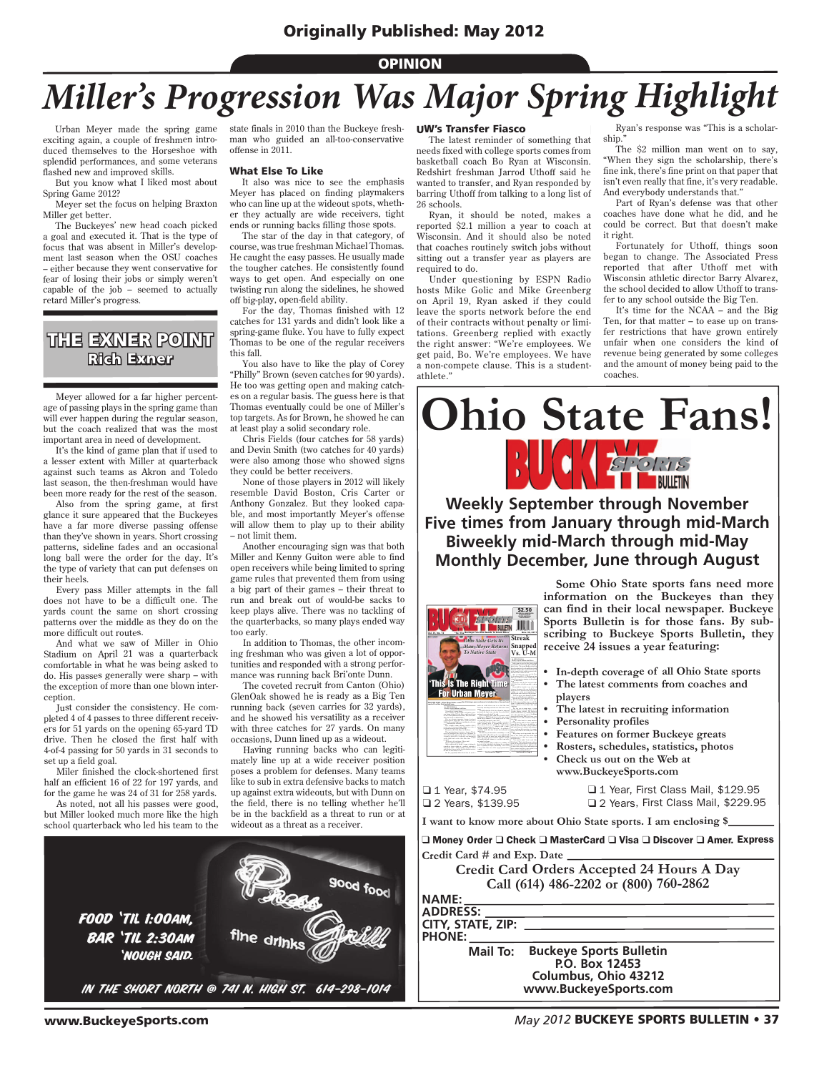### **OPINION**

# *Miller's Progression Was Major Spring Highlight*

Urban Meyer made the spring game exciting again, a couple of freshmen introduced themselves to the Horseshoe with splendid performances, and some veterans flashed new and improved skills.

But you know what I liked most about Spring Game 2012?

Meyer set the focus on helping Braxton Miller get better.

The Buckeyes' new head coach picked a goal and executed it. That is the type of focus that was absent in Miller's development last season when the OSU coaches – either because they went conservative for fear of losing their jobs or simply weren't capable of the job – seemed to actually retard Miller's progress.

## THE EXNER POINT Rich Exner

Meyer allowed for a far higher percentage of passing plays in the spring game than will ever happen during the regular season, but the coach realized that was the most important area in need of development.

It's the kind of game plan that if used to a lesser extent with Miller at quarterback against such teams as Akron and Toledo last season, the then-freshman would have been more ready for the rest of the season.

Also from the spring game, at first glance it sure appeared that the Buckeyes have a far more diverse passing offense than they've shown in years. Short crossing patterns, sideline fades and an occasional long ball were the order for the day. It's the type of variety that can put defenses on their heels.

Every pass Miller attempts in the fall does not have to be a difficult one. The yards count the same on short crossing patterns over the middle as they do on the more difficult out routes.

And what we saw of Miller in Ohio Stadium on April 21 was a quarterback comfortable in what he was being asked to do. His passes generally were sharp – with the exception of more than one blown interception.

Just consider the consistency. He completed 4 of 4 passes to three different receivers for 51 yards on the opening 65-yard TD drive. Then he closed the first half with 4-of-4 passing for 50 yards in 31 seconds to set up a field goal.

Miler finished the clock-shortened first half an efficient 16 of 22 for 197 yards, and for the game he was 24 of 31 for 258 yards.

As noted, not all his passes were good, but Miller looked much more like the high school quarterback who led his team to the

**FOOD 'TIL 1:00AM.** 

**BAR 'TIL 2:30AM** 'NOUGH SAID.

state finals in 2010 than the Buckeye freshman who guided an all-too-conservative offense in 2011.

#### What Else To Like

It also was nice to see the emphasis Meyer has placed on finding playmakers who can line up at the wideout spots, whether they actually are wide receivers, tight ends or running backs filling those spots.

The star of the day in that category, of course, was true freshman Michael Thomas. He caught the easy passes. He usually made the tougher catches. He consistently found ways to get open. And especially on one twisting run along the sidelines, he showed off big-play, open-field ability.

For the day, Thomas finished with 12 catches for 131 yards and didn't look like a spring-game fluke. You have to fully expect Thomas to be one of the regular receivers this fall.

You also have to like the play of Corey "Philly" Brown (seven catches for 90 yards). He too was getting open and making catches on a regular basis. The guess here is that Thomas eventually could be one of Miller's top targets. As for Brown, he showed he can at least play a solid secondary role.

Chris Fields (four catches for 58 yards) and Devin Smith (two catches for 40 yards) were also among those who showed signs they could be better receivers.

None of those players in 2012 will likely resemble David Boston, Cris Carter or Anthony Gonzalez. But they looked capable, and most importantly Meyer's offense will allow them to play up to their ability – not limit them.

Another encouraging sign was that both Miller and Kenny Guiton were able to find open receivers while being limited to spring game rules that prevented them from using a big part of their games – their threat to run and break out of would-be sacks to keep plays alive. There was no tackling of the quarterbacks, so many plays ended way too early.

In addition to Thomas, the other incoming freshman who was given a lot of opportunities and responded with a strong performance was running back Bri'onte Dunn.

The coveted recruit from Canton (Ohio) GlenOak showed he is ready as a Big Ten running back (seven carries for 32 yards), and he showed his versatility as a receiver with three catches for 27 yards. On many occasions, Dunn lined up as a wideout.

Having running backs who can legitimately line up at a wide receiver position poses a problem for defenses. Many teams like to sub in extra defensive backs to match up against extra wideouts, but with Dunn on the field, there is no telling whether he'll be in the backfield as a threat to run or at wideout as a threat as a receiver.

fine drinks

IN THE SHORT NORTH @ 741 N. HIGH ST. 614-298-1014

good food

### UW's Transfer Fiasco

The latest reminder of something that needs fixed with college sports comes from basketball coach Bo Ryan at Wisconsin. Redshirt freshman Jarrod Uthoff said he wanted to transfer, and Ryan responded by barring Uthoff from talking to a long list of 26 schools.

Ryan, it should be noted, makes a reported \$2.1 million a year to coach at Wisconsin. And it should also be noted that coaches routinely switch jobs without sitting out a transfer year as players are required to do.

Under questioning by ESPN Radio hosts Mike Golic and Mike Greenberg on April 19, Ryan asked if they could leave the sports network before the end of their contracts without penalty or limitations. Greenberg replied with exactly the right answer: "We're employees. We get paid, Bo. We're employees. We have a non-compete clause. This is a studentathlete."

Ryan's response was "This is a scholarship."

The \$2 million man went on to say, "When they sign the scholarship, there's fine ink, there's fine print on that paper that isn't even really that fine, it's very readable. And everybody understands that."

Part of Ryan's defense was that other coaches have done what he did, and he could be correct. But that doesn't make it right.

Fortunately for Uthoff, things soon began to change. The Associated Press reported that after Uthoff met with Wisconsin athletic director Barry Alvarez, the school decided to allow Uthoff to transfer to any school outside the Big Ten.

It's time for the NCAA – and the Big Ten, for that matter – to ease up on transfer restrictions that have grown entirely unfair when one considers the kind of revenue being generated by some colleges and the amount of money being paid to the coaches.



**Weekly September through November Five times from January through mid-March Biweekly mid-March through mid-May Monthly December, June through August**



**Some Ohio State sports fans need more information on the Buckeyes than they can find in their local newspaper. Buckeye Sports Bulletin is for those fans. By subscribing to Buckeye Sports Bulletin, they receive 24 issues a year featuring:**

- **In-depth coverage of all Ohio State sports**
- **The latest comments from coaches and players**
- **The latest in recruiting information**
- **Personality profiles**
- **Features on former Buckeye greats**
- **Rosters, schedules, statistics, photos • Check us out on the Web at www.BuckeyeSports.com**

□ 1 Year, \$74.95 □ 2 Years, \$139.95

□ 1 Year, First Class Mail, \$129.95 □ 2 Years, First Class Mail, \$229.95

| I want to know more about Ohio State sports. I am enclosing \$__ |  |  |
|------------------------------------------------------------------|--|--|
|------------------------------------------------------------------|--|--|

| ❑ Money Order ❑ Check ❑ MasterCard ❑ Visa ❑ Discover ❑ Amer. Express |
|----------------------------------------------------------------------|
| Credit Card # and Exp. Date _______                                  |
| Credit Card Orders Accepted 24 Hours A Day                           |
| Call (614) 486-2202 or (800) 760-2862                                |
| INAME: I                                                             |
| ADDRESS:                                                             |
| CITY, STATE, ZIP:                                                    |
| <b>PHONE:</b>                                                        |
| <b>Buckeye Sports Bulletin</b><br>Mail To:                           |
| P.O. Box 12453                                                       |
| Columbus, Ohio 43212                                                 |
| www.BuckeveSports.com                                                |